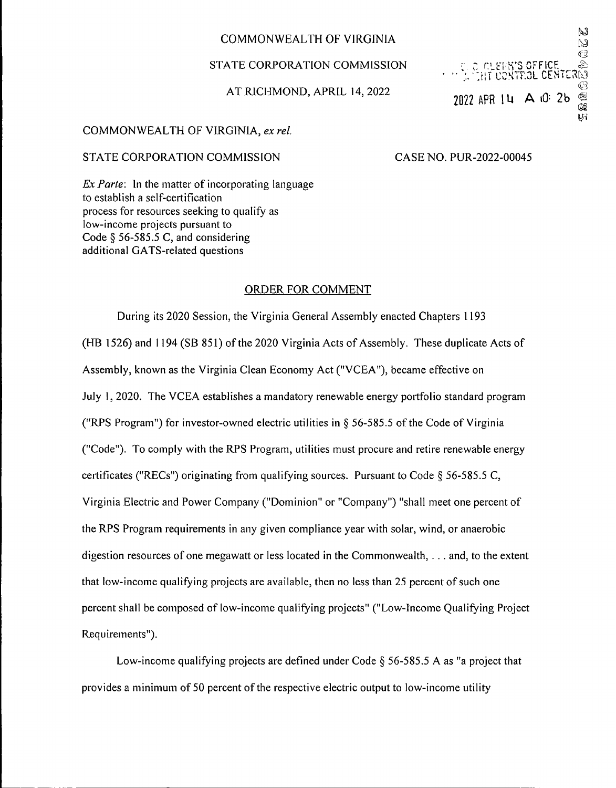## COMMONWEALTH OF VIRGINIA

### STATE CORPORATION COMMISSION

### AT RICHMOND, APRIL 14, 2022

#### COMMONWEALTH OF VIRGINIA, *ex rel.*

#### STATE CORPORATION COMMISSION CASE NO. PUR-2022-00045

trlo inletats of fice.<br>Trittiff control cente

2022 APR 14 A 10: 2b @

W **S** ∢⊇ Ą  $R_{\odot}$ 

IJТ

*Ex Parte:* In the matter of incorporating language to establish a self-certification process for resources seeking to qualify as low-income projects pursuant to Code § 56-585.5 C, and considering additional GATS-related questions

#### ORDER FOR COMMENT

During its 2020 Session, the Virginia General Assembly enacted Chapters 1193 (HB 1526) and 1194 (SB 851) of the 2020 Virginia Acts of Assembly. These duplicate Acts of Assembly, known as the Virginia Clean Economy Act ("VCEA"), became effective on July I, 2020. The VCEA establishes a mandatory renewable energy portfolio standard program ("RPS Program") for investor-owned electric utilities in  $\S$  56-585.5 of the Code of Virginia ("Code"). To comply with the RPS Program, utilities must procure and retire renewable energy certificates ("RECs") originating from qualifying sources. Pursuant to Code § 56-585.5 C, Virginia Electric and Power Company ("Dominion" or "Company") "shall meet one percent of the RPS Program requirements in any given compliance year with solar, wind, or anaerobic digestion resources of one megawatt or less located in the Commonwealth, ... and, to the extent that low-income qualifying projects are available, then no less than 25 percent of such one percent shall be composed of low-income qualifying projects" ("Low-Income Qualifying Project Requirements").

Low-income qualifying projects are defined under Code § 56-585.5 A as "a project that provides a minimum of 50 percent of the respective electric output to low-income utility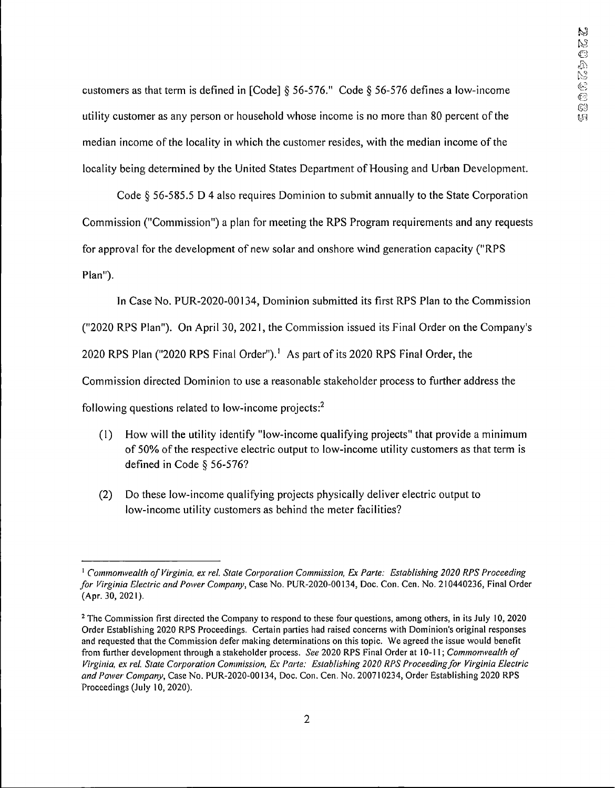customers as that term is defined in [Code] § 56-576." Code § 56-576 defines a low-income utility customer as any person or household whose income is no more than 80 percent ofthe median income of the locality in which the customer resides, with the median income of the locality being determined by the United States Department of Housing and Urban Development.

Code § 56-585.5 D 4 also requires Dominion to submit annually to the State Corporation Commission ("Commission") a plan for meeting the RPS Program requirements and any requests for approval for the development of new solar and onshore wind generation capacity ("RPS Plan").

In Case No. PUR-2020-00134, Dominion submitted its first RPS Plan to the Commission ("2020 RPS Plan"). On April 30, 2021, the Commission issued its Final Order on the Company's 2020 RPS Plan ("2020 RPS Final Order").<sup>1</sup> As part of its 2020 RPS Final Order, the Commission directed Dominion to use a reasonable stakeholder process to further address the following questions related to low-income projects:2

- (1) How will the utility identify "low-income qualifying projects" that provide a minimum of 50% of the respective electric output to low-income utility customers as that term is defined in Code § 56-576?
- (2) Do these low-income qualifying projects physically deliver electric output to low-income utility customers as behind the meter facilities?

*<sup>1</sup> Commonwealth of Virginia, ex rel. State Corporation Commission, Ex Parte: Establishing 2020 RPS Proceeding for Virginia Electric and Power Company,* Case No. PUR-2020-00134, Doc. Con. Cen. No. 210440236, Final Order (Apr. 30, 2021).

<sup>&</sup>lt;sup>2</sup> The Commission first directed the Company to respond to these four questions, among others, in its July 10, 2020 Order Establishing 2020 RPS Proceedings. Certain parties had raised concerns with Dominion's original responses and requested that the Commission defer making determinations on this topic. We agreed the issue would benefit from further development through a stakeholder process. *See* 2020 RPS Final Order at 10-11; *Commonwealth of Virginia, ex rel. State Corporation Commission, Ex Parte: Establishing 2020 RPS Proceedingfor Virginia Electric and Power Company,* Case No. PUR-2020-00134, Doc. Con. Cen. No. 200710234, Order Establishing 2020 RPS Proceedings (July 10, 2020).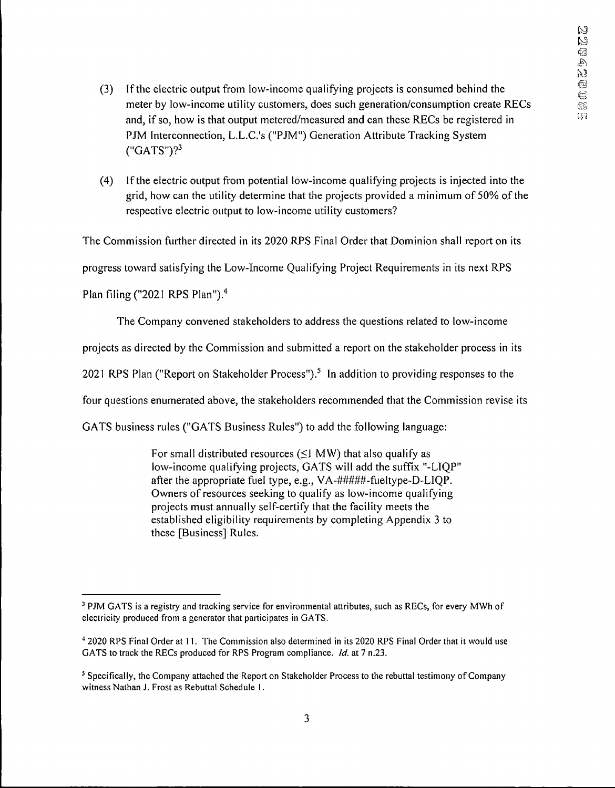- (3) Ifthe electric output from low-income qualifying projects is consumed behind the meter by low-income utility customers, does such generation/consumption create RECs and, if so, how is that output metered/measured and can these RECs be registered in PJM Interconnection, L.L.C.'s ("PJM") Generation Attribute Tracking System  $("GATS")$ ?
- (4) Ifthe electric output from potential low-income qualifying projects is injected into the grid, how can the utility determine that the projects provided a minimum of 50% ofthe respective electric output to low-income utility customers?

The Commission further directed in its 2020 RPS Final Order that Dominion shall report on its

progress toward satisfying the Low-Income Qualifying Project Requirements in its next RPS

Plan filing ("2021 RPS Plan").<sup>4</sup>

The Company convened stakeholders to address the questions related to low-income

projects as directed by the Commission and submitted a report on the stakeholder process in its

2021 RPS Plan ("Report on Stakeholder Process").<sup>5</sup> In addition to providing responses to the

four questions enumerated above, the stakeholders recommended that the Commission revise its

GATS business rules ("GATS Business Rules") to add the following language:

For small distributed resources  $(\leq)$  MW) that also qualify as low-income qualifying projects, GATS will add the suffix "-L1QP" after the appropriate fuel type, e.g., VA-#####-fueltype-D-LIQP. Owners of resources seeking to qualify as low-income qualifying projects must annually self-certify that the facility meets the established eligibility requirements by completing Appendix 3 to these [Business] Rules.

<sup>&</sup>lt;sup>3</sup> PJM GATS is a registry and tracking service for environmental attributes, such as RECs, for every MWh of electricity produced from a generator that participates in GATS.

<sup>4</sup> 2020 RPS Final Order at 11. The Commission also determined in its 2020 RPS Final Order that it would use GATS to track the RECs produced for RPS Program compliance. *Id.* at 7 n.23.

<sup>&</sup>lt;sup>5</sup> Specifically, the Company attached the Report on Stakeholder Process to the rebuttal testimony of Company witness Nathan J. Frost as Rebuttal Schedule 1.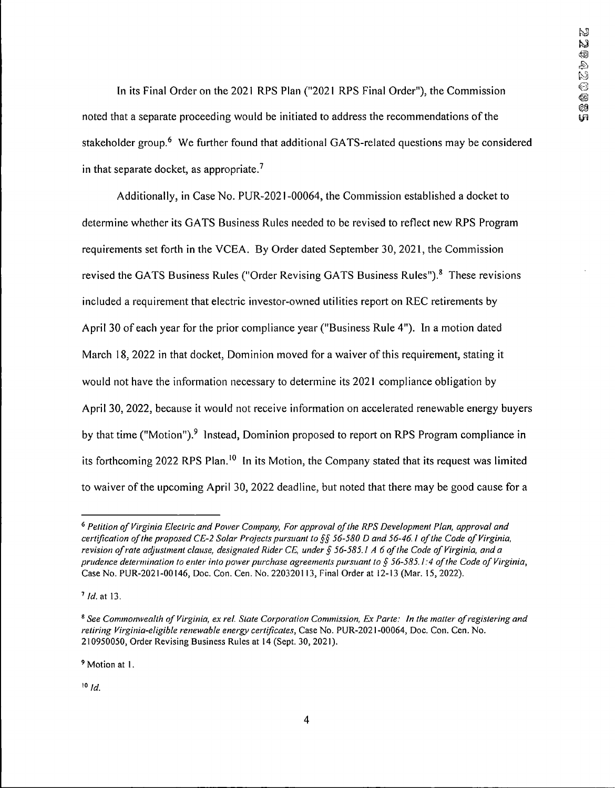In its Final Order on the 2021 RPS Plan ("2021 RPS Final Order"), the Commission noted that a separate proceeding would be initiated to address the recommendations of the stakeholder group.<sup>6</sup> We further found that additional GATS-related questions may be considered in that separate docket, as appropriate.<sup>7</sup>

Additionally, in Case No. PUR-2021-00064, the Commission established a docket to determine whether its GATS Business Rules needed to be revised to reflect new RPS Program requirements set forth in the VCEA. By Order dated September 30, 2021, the Commission revised the GATS Business Rules ("Order Revising GATS Business Rules").<sup>8</sup> These revisions included a requirement that electric investor-owned utilities report on REC retirements by April 30 of each year for the prior compliance year ("Business Rule 4"). In a motion dated March 18, 2022 in that docket, Dominion moved for a waiver of this requirement, stating it would not have the information necessary to determine its 2021 compliance obligation by April 30, 2022, because it would not receive information on accelerated renewable energy buyers by that time ("Motion").<sup>9</sup> Instead, Dominion proposed to report on RPS Program compliance in its forthcoming 2022 RPS Plan.<sup>10</sup> In its Motion, the Company stated that its request was limited to waiver ofthe upcoming April 30, 2022 deadline, but noted that there may be good cause for a

<sup>9</sup> Motion at 1.

*<sup>10</sup> Id.*

*<sup>6</sup>Petition ofVirginia Electric and Power Company, For approval ofthe RPS Development Plan, approval and* certification of the proposed CE-2 Solar Projects pursuant to §§ 56-580 D and 56-46.1 of the Code of Virginia, revision of rate adjustment clause, designated Rider CE, under § 56-585.1 A 6 of the Code of Virginia, and a prudence determination to enter into power purchase agreements pursuant to § 56-585.1:4 of the Code of Virginia, Case No. PUR-2021-00146, Doc. Con. Cen. No. 220320113, Final Order at 12-13 (Mar. 15,2022).

*<sup>7</sup> Id.* at 13.

<sup>&</sup>lt;sup>8</sup> See Commonwealth of Virginia, ex rel. State Corporation Commission, Ex Parte: In the matter of registering and *retiring Virginia-eligible renewable energy certificates.* Case No. PUR-2021-00064, Doc. Con. Cen. No. 210950050, Order Revising Business Rules at 14 (Sept. 30, 2021).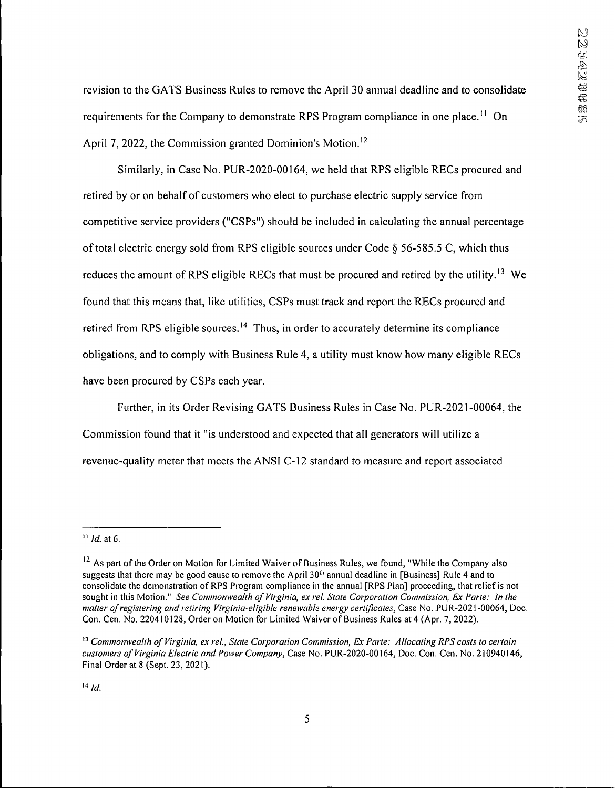revision to the GATS Business Rules to remove the April 30 annual deadline and to consolidate requirements for the Company to demonstrate RPS Program compliance in one place.<sup>11</sup> On April 7, 2022, the Commission granted Dominion's Motion.<sup>12</sup>

Similarly, in Case No. PUR-2020-00164, we held that RPS eligible RECs procured and retired by or on behalf of customers who elect to purchase electric supply service from competitive service providers ("CSPs") should be included in calculating the annual percentage of total electric energy sold from RPS eligible sources under Code  $\S$  56-585.5 C, which thus reduces the amount of RPS eligible RECs that must be procured and retired by the utility.<sup>13</sup> We found that this means that, like utilities, CSPs must track and report the RECs procured and retired from RPS eligible sources.<sup>14</sup> Thus, in order to accurately determine its compliance obligations, and to comply with Business Rule 4, a utility must know how many eligible RECs have been procured by CSPs each year.

Further, in its Order Revising GATS Business Rules in Case No. PUR-2021-00064, the Commission found that it "is understood and expected that all generators will utilize a revenue-quality meter that meets the ANSI C-12 standard to measure and report associated

*<sup>11</sup> Id.* at 6.

<sup>&</sup>lt;sup>12</sup> As part of the Order on Motion for Limited Waiver of Business Rules, we found, "While the Company also suggests that there may be good cause to remove the April  $30<sup>th</sup>$  annual deadline in [Business] Rule 4 and to consolidate the demonstration ofRPS Program compliance in the annual [RPS Plan] proceeding, that reliefis not sought in this Motion." *See Commonwealth of Virginia, ex rel. State Corporation Commission, Ex Parte: In the matter ofregistering and retiring Virginia-eligible renewable energy certificates,* Case No. PUR-2021-00064, Doc. Con. Cen. No. 220410128, Order on Motion for Limited Waiver of Business Rules at 4 (Apr. 7,2022).

*<sup>13</sup> Commonwealth ofVirginia, ex rel., State Corporation Commission, Ex Parte: Allocating RPS costs to certain customers ofVirginia Electric and Power Company,* Case No. PUR-2020-00164, Doc. Con. Cen. No. 210940146, Final Order at 8 (Sept. 23, 2021).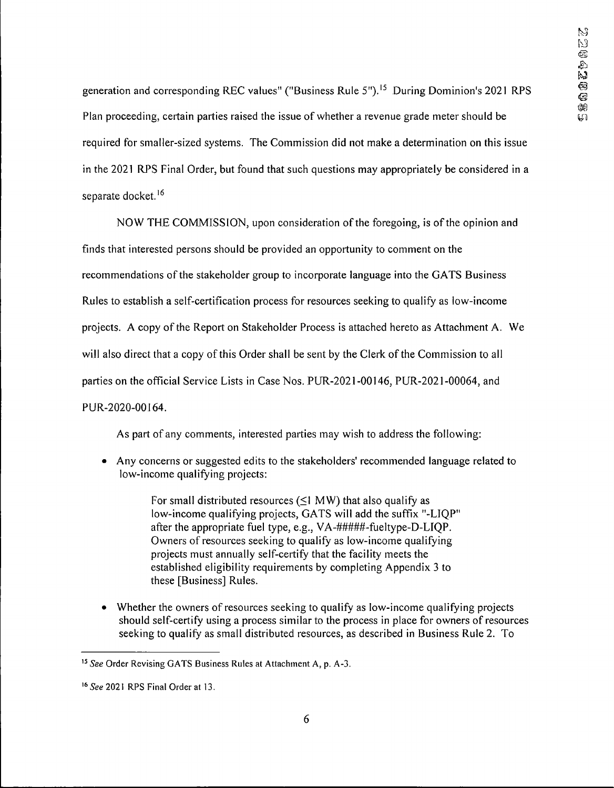generation and corresponding REC values" ("Business Rule 5").<sup>15</sup> During Dominion's 2021 RPS Plan proceeding, certain parties raised the issue of whether a revenue grade meter should be required for smaller-sized systems. The Commission did not make a determination on this issue in the 2021 RPS Final Order, but found that such questions may appropriately be considered in a separate docket.<sup>16</sup>

NOW THE COMMISSION, upon consideration ofthe foregoing, is ofthe opinion and finds that interested persons should be provided an opportunity to comment on the recommendations of the stakeholder group to incorporate language into the GATS Business Rules to establish a self-certification process for resources seeking to qualify as low-income projects. A copy of the Report on Stakeholder Process is attached hereto as Attachment A. We will also direct that a copy of this Order shall be sent by the Clerk of the Commission to all parties on the official Service Lists in Case Nos. PUR-2021-00146, PLTR-2021-00064, and PUR-2020-00164.

As part of any comments, interested parties may wish to address the following:

• Any concerns or suggested edits to the stakeholders' recommended language related to low-income qualifying projects:

> For small distributed resources  $(\leq 1 \text{ MW})$  that also qualify as low-income qualifying projects, GATS will add the suffix "-LIQP" after the appropriate fuel type, e.g., VA-#####-fueltype-D-LIQP. Owners of resources seeking to qualify as low-income qualifying projects must annually self-certify that the facility meets the established eligibility requirements by completing Appendix 3 to these [Business] Rules.

• Whether the owners of resources seeking to qualify as low-income qualifying projects should self-certify using a process similar to the process in place for owners of resources seeking to qualify as small distributed resources, as described in Business Rule 2. To

*<sup>15</sup> See* Order Revising GATS Business Rules at Attachment A, p. A-3.

<sup>&</sup>lt;sup>16</sup> See 2021 RPS Final Order at 13.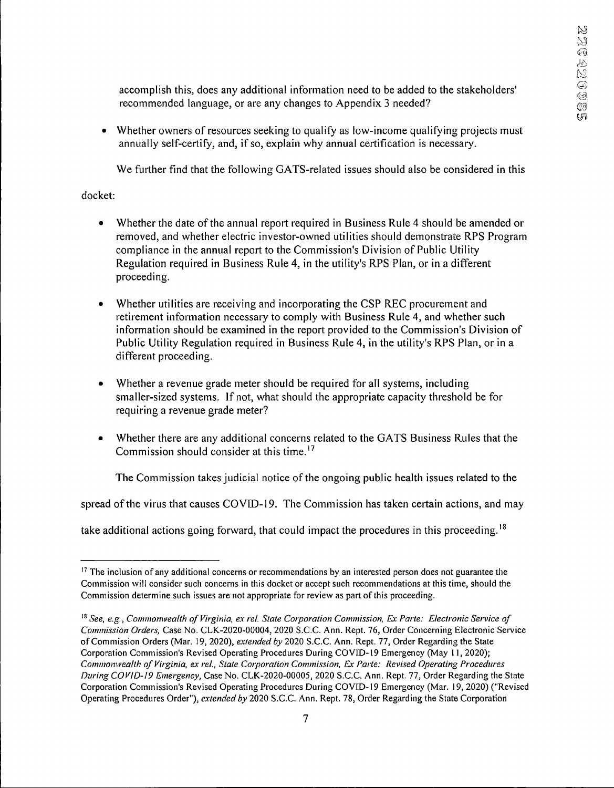accomplish this, does any additional information need to be added to the stakeholders' recommended language, or are any changes to Appendix 3 needed?

• Whether owners of resources seeking to qualify as low-income qualifying projects must annually self-certify, and, if so, explain why annual certification is necessary.

We further find that the following GATS-related issues should also be considered in this

### docket:

- Whether the date of the annual report required in Business Rule 4 should be amended or removed, and whether electric investor-owned utilities should demonstrate RPS Program compliance in the annual report to the Commission's Division of Public Utility Regulation required in Business Rule 4, in the utility's RPS Plan, or in a different proceeding.
- Whether utilities are receiving and incorporating the CSP REC procurement and retirement information necessary to comply with Business Rule 4, and whether such information should be examined in the report provided to the Commission's Division of Public Utility Regulation required in Business Rule 4, in the utility's RPS Plan, or in a different proceeding.
- Whether a revenue grade meter should be required for all systems, including smaller-sized systems. If not, what should the appropriate capacity threshold be for requiring a revenue grade meter?
- Whether there are any additional concerns related to the GATS Business Rules that the Commission should consider at this time.17

The Commission takes judicial notice of the ongoing public health issues related to the

spread of the virus that causes COVID-19. The Commission has taken certain actions, and may

take additional actions going forward, that could impact the procedures in this proceeding.<sup>18</sup>

<sup>&</sup>lt;sup>17</sup> The inclusion of any additional concerns or recommendations by an interested person does not guarantee the Commission will consider such concerns in this docket or accept such recommendations at this time, should the Commission determine such issues are not appropriate for review as part of this proceeding.

*<sup>18</sup> See, e.g., Commomvealth of Virginia, ex rel. Stale Corporation Commission, Ex Parle: Electronic Service of Commission Orders,* Case No. CLK-2020-00004, 2020 S.C.C. Ann. Rept. 76, Order Concerning Electronic Service ofCommission Orders (Mar. 19, 2020), *extended by* 2020 S.C.C. Ann. Rept. 77, Order Regarding the State Corporation Commission's Revised Operating Procedures During COVID-19 Emergency (May 11,2020); *Commomvealth ofVirginia, ex rel., State Corporation Commission, Ex Parte: Revised Operating Procedures During COVID-19 Emergency,* Case No. CLK-2020-00005, 2020 S.C.C. Ann. Rept. 77, Order Regarding the State Corporation Commission's Revised Operating Procedures During COVID-19 Emergency (Mar. 19, 2020) ("Revised Operating Procedures Order"), *extended by* 2020 S.C.C. Ann. Rept. 78, Order Regarding the State Corporation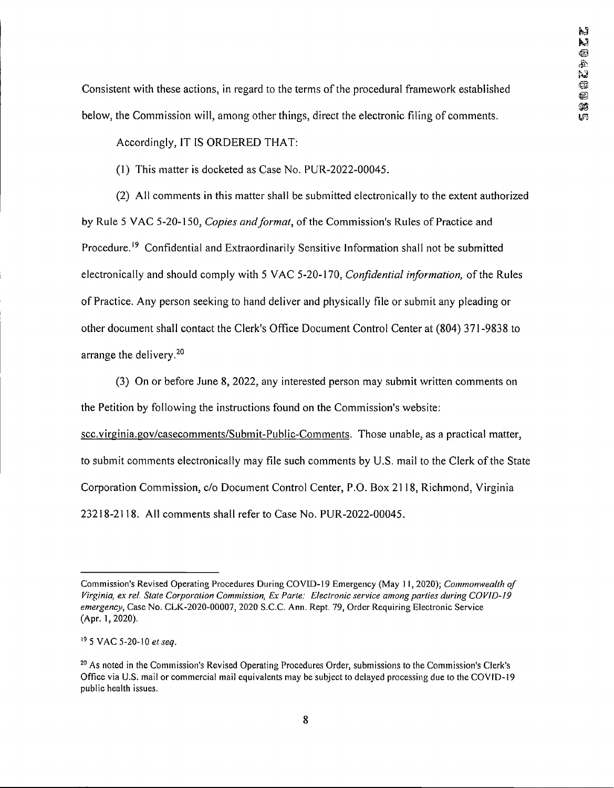Consistent with these actions, in regard to the terms of the procedural framework established below, the Commission will, among other things, direct the electronic filing of comments.

Accordingly, IT IS ORDERED THAT:

(1) This matter is docketed as Case No. PUR-2022-00045.

(2) All comments in this matter shall be submitted electronically to the extent authorized by Rule 5 VAC 5-20-150, *Copies and format*, of the Commission's Rules of Practice and Procedure.<sup>19</sup> Confidential and Extraordinarily Sensitive Information shall not be submitted electronically and should comply with 5 VAC 5-20-170, *Confidential information*, of the Rules ofPractice. Any person seeking to hand deliver and physically file or submit any pleading or other document shall contact the Clerk's Office Document Control Center at (804) 371 -9838 to arrange the delivery.<sup>20</sup>

(3) On or before June 8, 2022, any interested person may submit written comments on the Petition by following the instructions found on the Commission's website:

scc.virginia.gov/casecomments/Submit-Public-Comments. Those unable, as a practical matter, to submit comments electronically may file such comments by U.S. mail to the Clerk ofthe State Corporation Commission, c/o Document Control Center, P.O. Box 2118, Richmond, Virginia 23218-2118. All comments shall refer to Case No. PUR-2022-00045.

Commission's Revised Operating Procedures During COVID-19 Emergency (May 11,2020); *Commonwealth of Virginia, ex rel. State Corporation Commission, Ex Parte: Electronic service among parties during COVID-19 emergency,* Case No. CLK-2020-00007, 2020 S.C.C. Ann. Rept. 79, Order Requiring Electronic Service (Apr. 1,2020).

<sup>19</sup> 5 VAC 5-20-10 *etseq.*

<sup>20</sup> As noted in the Commission's Revised Operating Procedures Order, submissions to the Commission's Clerk's Office via U.S. mail or commercial mail equivalents may be subject to delayed processing due to the COV1D-19 public health issues.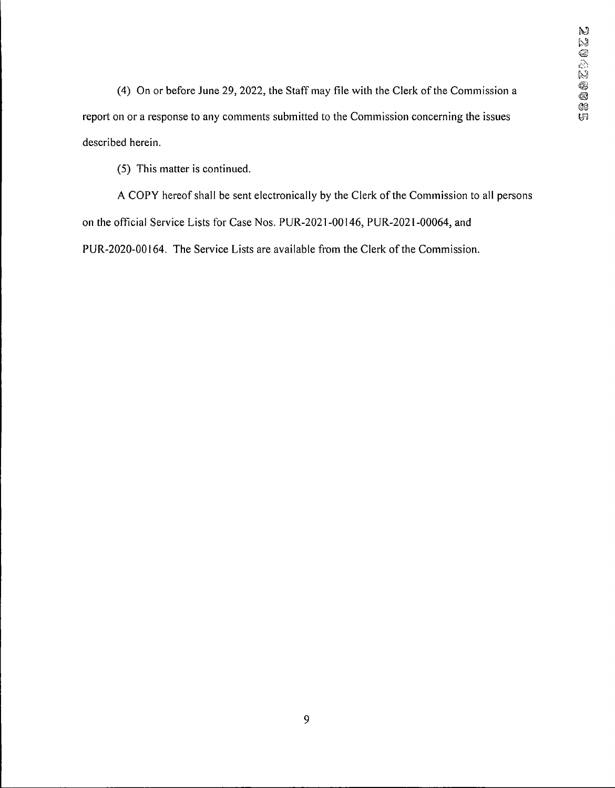(4) On or before June 29, 2022, the Staff may file with the Clerk of the Commission a report on or a response to any comments submitted to the Commission concerning the issues described herein.

(5) This matter is continued.

A COPY hereof shall be sent electronically by the Clerk of the Commission to all persons on the official Service Lists for Case Nos. PUR-2021-00146, PUR.-2021-00064, and PUR-2020-00164. The Service Lists are available from the Clerk of the Commission.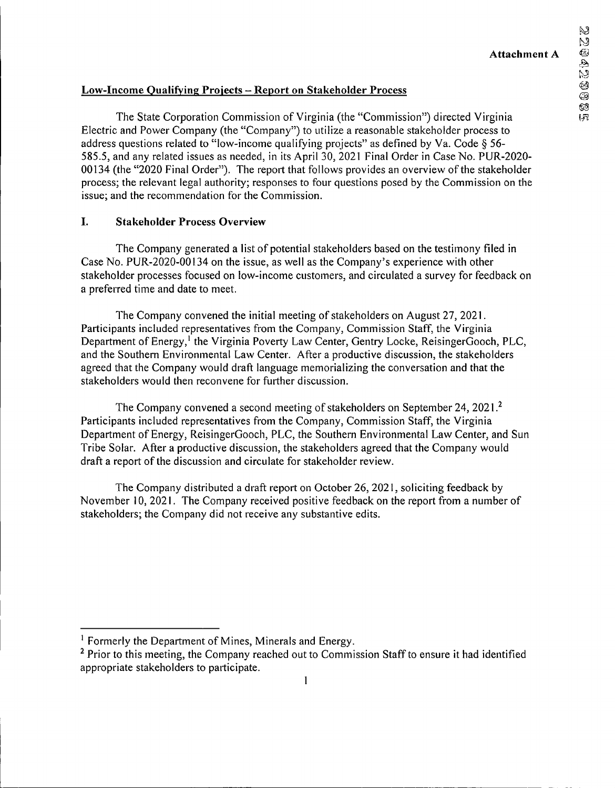**QCZPQ** 

CO  $\overline{5}$ 

N  $\mathbb N$ 

## **Low-Income Qualifying Projects - Report on Stakeholder Process**

The State Corporation Commission of Virginia (the "Commission") directed Virginia Electric and Power Company (the "Company") to utilize a reasonable stakeholder process to address questions related to "low-income qualifying projects" as defined by Va. Code § 56-585.5, and any related issues as needed, in its April 30, 2021 Final Order in Case No. PUR-2020- 00134 (the "2020 Final Order"). The report that follows provides an overview ofthe stakeholder process; the relevant legal authority; responses to four questions posed by the Commission on the issue; and the recommendation for the Commission.

### **I. Stakeholder Process Overview**

The Company generated a list of potential stakeholders based on the testimony filed in Case No. PUR-2020-00134 on the issue, as well as the Company's experience with other stakeholder processes focused on low-income customers, and circulated a survey for feedback on a preferred time and date to meet.

The Company convened the initial meeting of stakeholders on August 27, 2021. Participants included representatives from the Company, Commission Staff, the Virginia Department of Energy,<sup>1</sup> the Virginia Poverty Law Center, Gentry Locke, ReisingerGooch, PLC, and the Southern Environmental Law Center. After a productive discussion, the stakeholders agreed that the Company would draft language memorializing the conversation and that the stakeholders would then reconvene for further discussion.

The Company convened a second meeting of stakeholders on September 24, 2021.<sup>2</sup> Participants included representatives from the Company, Commission Staff, the Virginia Department of Energy, ReisingerGooch, PLC, the Southern Environmental Law Center, and Sun Tribe Solar. After a productive discussion, the stakeholders agreed that the Company would draft a report of the discussion and circulate for stakeholder review.

The Company distributed a draft report on October 26, 2021, soliciting feedback by November 10, 2021. The Company received positive feedback on the report from a number of stakeholders; the Company did not receive any substantive edits.

<sup>&</sup>lt;sup>1</sup> Formerly the Department of Mines, Minerals and Energy.

<sup>&</sup>lt;sup>2</sup> Prior to this meeting, the Company reached out to Commission Staff to ensure it had identified appropriate stakeholders to participate.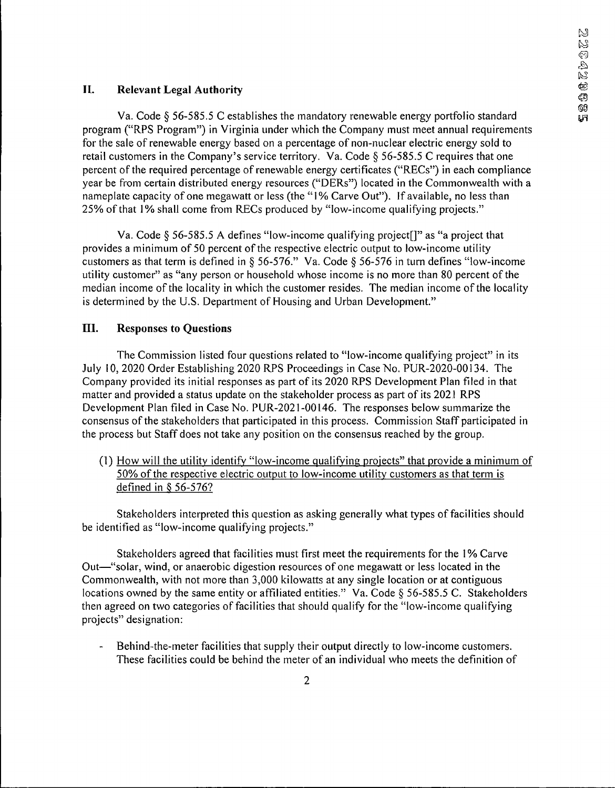# **II. Relevant Legal Authority**

Va. Code § 56-585.5 C establishes the mandatory renewable energy portfolio standard program ("RPS Program") in Virginia under which the Company must meet annual requirements for the sale of renewable energy based on a percentage of non-nuclear electric energy sold to retail customers in the Company's service territory. Va. Code § 56-585.5 C requires that one percent of the required percentage of renewable energy certificates ("RECs") in each compliance year be from certain distributed energy resources ("DERs") located in the Commonwealth with a nameplate capacity of one megawatt or less (the "1% Carve Out"). If available, no less than 25% ofthat 1% shall come from RECs produced by "low-income qualifying projects."

Va. Code  $\S$  56-585.5 A defines "low-income qualifying project []" as "a project that provides a minimum of 50 percent of the respective electric output to low-income utility customers as that term is defined in § 56-576." Va. Code § 56-576 in turn defines "low-income utility customer" as "any person or household whose income is no more than 80 percent of the median income of the locality in which the customer resides. The median income of the locality is determined by the U.S. Department of Housing and Urban Development."

## **III. Responses to Questions**

The Commission listed four questions related to "low-income qualifying project" in its July 10, 2020 Order Establishing 2020 RPS Proceedings in Case No. PUR-2020-00134. The Company provided its initial responses as part of its 2020 RPS Development Plan filed in that matter and provided a status update on the stakeholder process as part of its 2021 RPS Development Plan filed in Case No. PUR-2021-00146. The responses below summarize the consensus of the stakeholders that participated in this process. Commission Staff participated in the process but Staff does not take any position on the consensus reached by the group.

(1) How will the utility identify "low-income qualifying projects" that provide a minimum of 50% of the respective electric output to low-income utility customers as that term is defined in § 56-576?

Stakeholders interpreted this question as asking generally what types of facilities should be identified as "low-income qualifying projects."

Stakeholders agreed that facilities must first meet the requirements for the 1% Carve Out—"solar, wind, or anaerobic digestion resources of one megawatt or less located in the Commonwealth, with not more than 3,000 kilowatts at any single location or at contiguous locations owned by the same entity or affiliated entities." Va. Code § 56-585.5 C. Stakeholders then agreed on two categories of facilities that should qualify for the "low-income qualifying projects" designation:

Behind-the-meter facilities that supply their output directly to low-income customers. These facilities could be behind the meter of an individual who meets the definition of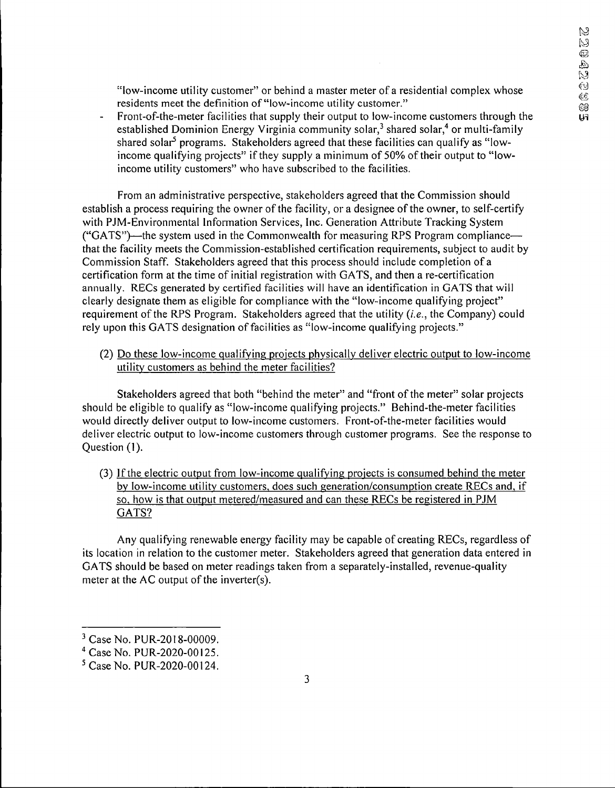"low-income utility customer" or behind a master meter of a residential complex whose residents meet the definition of "low-income utility customer."

Front-of-the-meter facilities that supply their output to low-income customers through the established Dominion Energy Virginia community solar, $3$  shared solar, $4$  or multi-family shared solar<sup>5</sup> programs. Stakeholders agreed that these facilities can qualify as "lowincome qualifying projects" if they supply a minimum of 50% of their output to "lowincome utility customers" who have subscribed to the facilities.

From an administrative perspective, stakeholders agreed that the Commission should establish a process requiring the owner of the facility, or a designee of the owner, to self-certify with PJM-Environmental Information Services, Inc. Generation Attribute Tracking System ("GATS")—the system used in the Commonwealth for measuring RPS Program compliance that the facility meets the Commission-established certification requirements, subject to audit by Commission Staff. Stakeholders agreed that this process should include completion of a certification form at the time of initial registration with GATS, and then a re-certification annually. RECs generated by certified facilities will have an identification in GATS that will clearly designate them as eligible for compliance with the "low-income qualifying project" requirement of the RPS Program. Stakeholders agreed that the utility  $(i.e., the Company)$  could rely upon this GATS designation of facilities as "low-income qualifying projects."

(2) Do these low-income qualifying projects physically deliver electric output to low-income utility customers as behind the meter facilities?

Stakeholders agreed that both "behind the meter" and "front of the meter" solar projects should be eligible to qualify as "low-income qualifying projects." Behind-the-meter facilities would directly deliver output to low-income customers. Front-of-the-meter facilities would deliver electric output to low-income customers through customer programs. See the response to Question (1).

(3) Ifthe electric output from low-income qualifying projects is consumed behind the meter by low-income utility customers, does such generation/consumption create RECs and, if so, how is that output metered/measured and can these RECs be registered in PJM GATS?

Any qualifying renewable energy facility may be capable of creating RECs, regardless of its location in relation to the customer meter. Stakeholders agreed that generation data entered in GATS should be based on meter readings taken from a separately-installed, revenue-quality meter at the  $AC$  output of the inverter(s).

<sup>3</sup> Case No. PUR-2018-00009.

<sup>4</sup> Case No. PUR-2020-00125.

<sup>5</sup> Case No. PUR-2020-00124.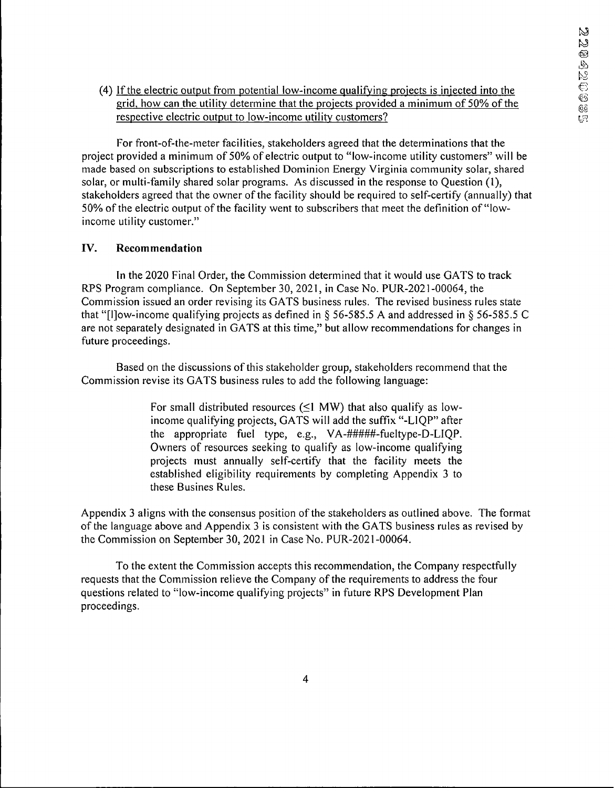(4) Ifthe electric output from potential low-income qual ifying projects is injected into the grid, how can the utility determine that the projects provided a minimum of 50% ofthe respective electric output to low-income utility customers?

For front-of-the-meter facilities, stakeholders agreed that the determinations that the project provided a minimum of 50% of electric output to "low-income utility customers" will be made based on subscriptions to established Dominion Energy Virginia community solar, shared solar, or multi-family shared solar programs. As discussed in the response to Question (1), stakeholders agreed that the owner of the facility should be required to self-certify (annually) that 50% of the electric output of the facility went to subscribers that meet the definition of "lowincome utility customer."

### **IV. Recommendation**

In the 2020 Final Order, the Commission determined that it would use GATS to track RPS Program compliance. On September 30, 2021, in Case No. PUR-2021-00064, the Commission issued an order revising its GATS business rules. The revised business rules state that "[IJow-income qualifying projects as defined in § 56-585.5 A and addressed in § 56-585.5 C are not separately designated in GATS at this time," but allow recommendations for changes in future proceedings.

Based on the discussions of this stakeholder group, stakeholders recommend that the Commission revise its GATS business rules to add the following language:

> For small distributed resources ( $\leq$ 1 MW) that also qualify as lowincome qualifying projects, GATS will add the suffix "-L1QP" after the appropriate fuel type, e.g., VA-#####-fueltype-D-LIQP. Owners of resources seeking to qualify as low-income qualifying projects must annually self-certify that the facility meets the established eligibility requirements by completing Appendix 3 to these Busines Rules.

Appendix 3 aligns with the consensus position of the stakeholders as outlined above. The format of the language above and Appendix 3 is consistent with the GATS business rules as revised by the Commission on September 30, 2021 in Case No. PUR-2021-00064.

To the extent the Commission accepts this recommendation, the Company respectfully requests that the Commission relieve the Company of the requirements to address the four questions related to "low-income qualifying projects" in future RPS Development Plan proceedings.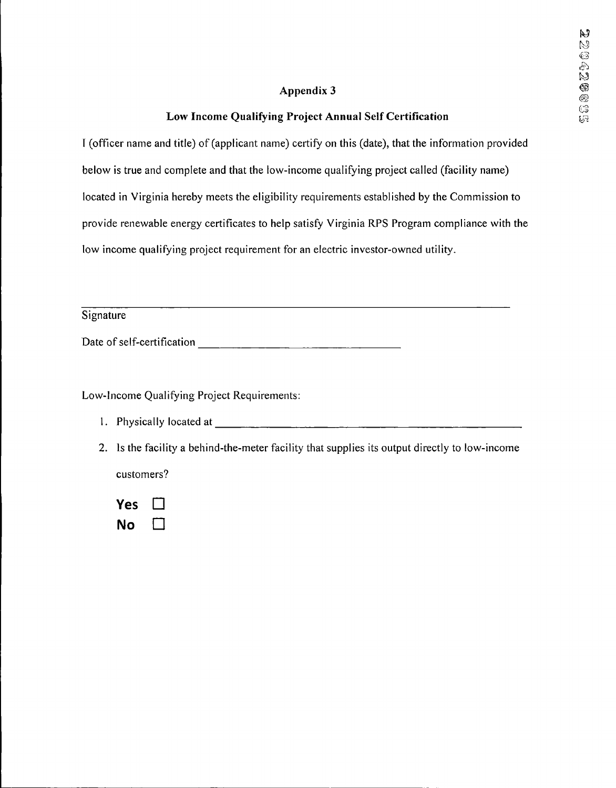## **Appendix 3**

## **Low Income Qualifying Project Annual Self Certification**

I (officer name and title) of (applicant name) certify on this (date), that the information provided below is true and complete and that the low-income qualifying project called (facility name) located in Virginia hereby meets the eligibility requirements established by the Commission to provide renewable energy certificates to help satisfy Virginia RPS Program compliance with the low income qualifying project requirement for an electric investor-owned utility.

**Signature** 

Date of self-certification

Low-Income Qualifying Project Requirements:

- 1. Physically located at
- 2. Is the facility a behind-the-meter facility that supplies its output directly to low-income customers?

**Yes** ΙI **No**  $\Box$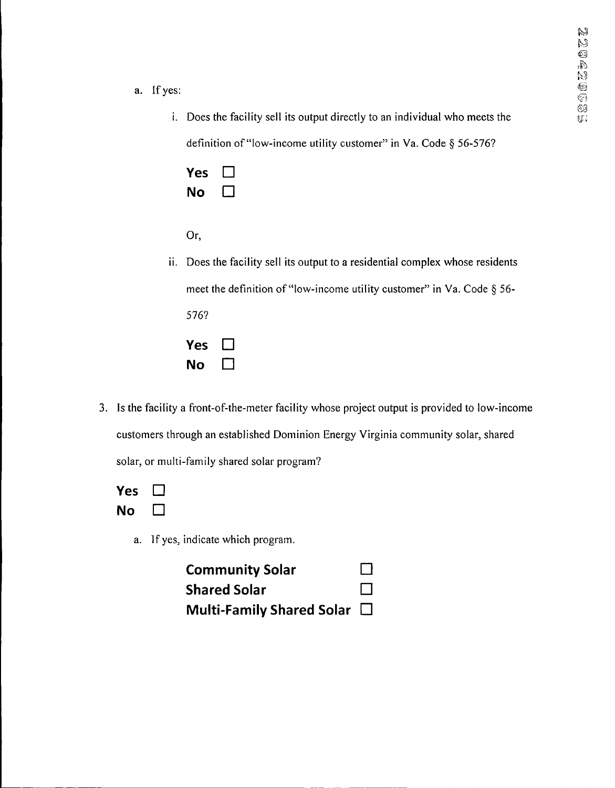- a. If yes:
	- i. Does the facility sell its output directly to an individual who meets the definition of "low-income utility customer" in Va. Code § 56-576?

| Yes | $\Box$ |
|-----|--------|
| No  | $\Box$ |

| ٦<br>I<br>. . | ÷ | I |
|---------------|---|---|
|               |   |   |

- ii. Does the facility sell its output to a residential complex whose residents meet the definition of "low-income utility customer" in Va. Code § 56-576? **Yes**  $\Box$ **No**  $\Box$
- 3. Is the facility a front-of-the-meter facility whose project output is provided to low-income customers through an established Dominion Energy Virginia community solar, shared solar, or multi-family shared solar program?

| Yes | $\Box$ |
|-----|--------|
| No  |        |

a. If yes, indicate which program.

| <b>Community Solar</b>           | ⊔      |
|----------------------------------|--------|
| <b>Shared Solar</b>              | $\Box$ |
| Multi-Family Shared Solar $\Box$ |        |